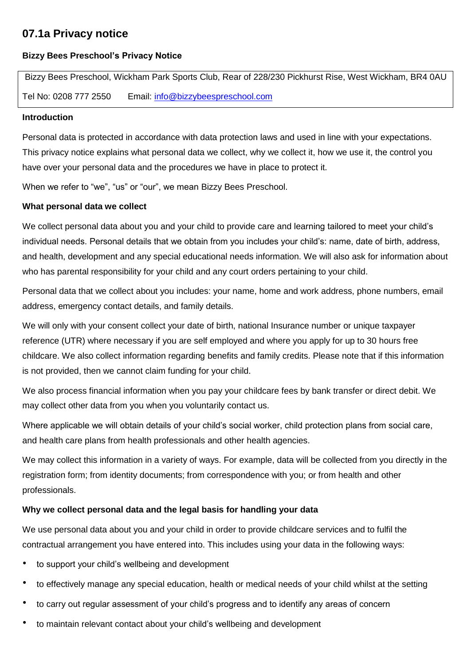# **07.1a Privacy notice**

# **Bizzy Bees Preschool's Privacy Notice**

Bizzy Bees Preschool, Wickham Park Sports Club, Rear of 228/230 Pickhurst Rise, West Wickham, BR4 0AU Tel No: 0208 777 2550 Email: [info@bizzybeespreschool.com](mailto:info@bizzybeespreschool.com)

#### **Introduction**

Personal data is protected in accordance with data protection laws and used in line with your expectations. This privacy notice explains what personal data we collect, why we collect it, how we use it, the control you have over your personal data and the procedures we have in place to protect it.

When we refer to "we", "us" or "our", we mean Bizzy Bees Preschool.

# **What personal data we collect**

We collect personal data about you and your child to provide care and learning tailored to meet your child's individual needs. Personal details that we obtain from you includes your child's: name, date of birth, address, and health, development and any special educational needs information. We will also ask for information about who has parental responsibility for your child and any court orders pertaining to your child.

Personal data that we collect about you includes: your name, home and work address, phone numbers, email address, emergency contact details, and family details.

We will only with your consent collect your date of birth, national Insurance number or unique taxpayer reference (UTR) where necessary if you are self employed and where you apply for up to 30 hours free childcare. We also collect information regarding benefits and family credits. Please note that if this information is not provided, then we cannot claim funding for your child.

We also process financial information when you pay your childcare fees by bank transfer or direct debit. We may collect other data from you when you voluntarily contact us.

Where applicable we will obtain details of your child's social worker, child protection plans from social care, and health care plans from health professionals and other health agencies.

We may collect this information in a variety of ways. For example, data will be collected from you directly in the registration form; from identity documents; from correspondence with you; or from health and other professionals.

# **Why we collect personal data and the legal basis for handling your data**

We use personal data about you and your child in order to provide childcare services and to fulfil the contractual arrangement you have entered into. This includes using your data in the following ways:

- to support your child's wellbeing and development
- to effectively manage any special education, health or medical needs of your child whilst at the setting
- to carry out regular assessment of your child's progress and to identify any areas of concern
- to maintain relevant contact about your child's wellbeing and development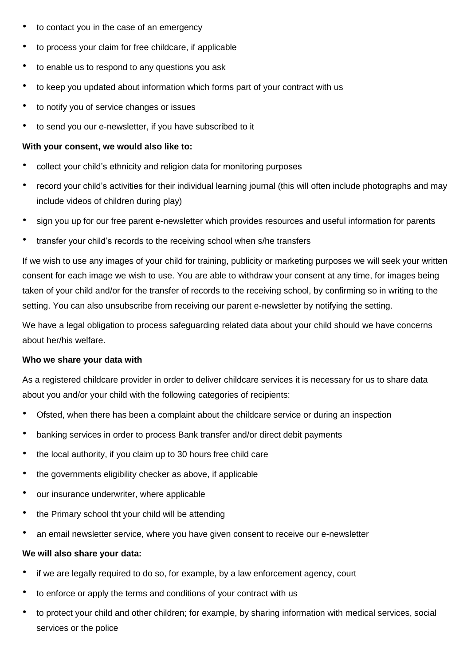- to contact you in the case of an emergency
- to process your claim for free childcare, if applicable
- to enable us to respond to any questions you ask
- to keep you updated about information which forms part of your contract with us
- to notify you of service changes or issues
- to send you our e-newsletter, if you have subscribed to it

# **With your consent, we would also like to:**

- collect your child's ethnicity and religion data for monitoring purposes
- record your child's activities for their individual learning journal (this will often include photographs and may include videos of children during play)
- sign you up for our free parent e-newsletter which provides resources and useful information for parents
- transfer your child's records to the receiving school when s/he transfers

If we wish to use any images of your child for training, publicity or marketing purposes we will seek your written consent for each image we wish to use. You are able to withdraw your consent at any time, for images being taken of your child and/or for the transfer of records to the receiving school, by confirming so in writing to the setting. You can also unsubscribe from receiving our parent e-newsletter by notifying the setting.

We have a legal obligation to process safeguarding related data about your child should we have concerns about her/his welfare.

#### **Who we share your data with**

As a registered childcare provider in order to deliver childcare services it is necessary for us to share data about you and/or your child with the following categories of recipients:

- Ofsted, when there has been a complaint about the childcare service or during an inspection
- banking services in order to process Bank transfer and/or direct debit payments
- the local authority, if you claim up to 30 hours free child care
- the governments eligibility checker as above, if applicable
- our insurance underwriter, where applicable
- the Primary school tht your child will be attending
- an email newsletter service, where you have given consent to receive our e-newsletter

#### **We will also share your data:**

- if we are legally required to do so, for example, by a law enforcement agency, court
- to enforce or apply the terms and conditions of your contract with us
- to protect your child and other children; for example, by sharing information with medical services, social services or the police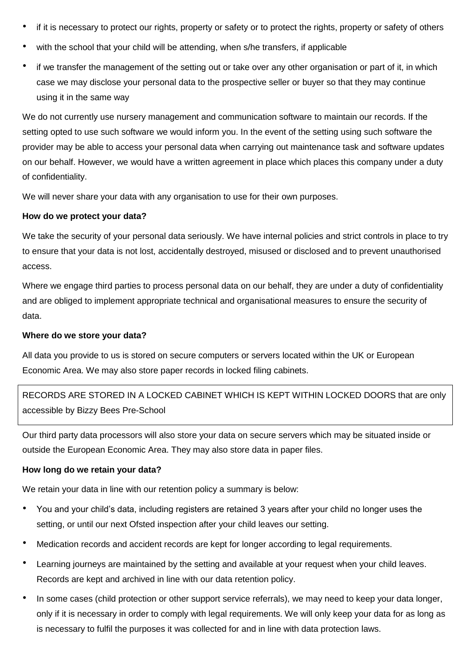- if it is necessary to protect our rights, property or safety or to protect the rights, property or safety of others
- with the school that your child will be attending, when s/he transfers, if applicable
- if we transfer the management of the setting out or take over any other organisation or part of it, in which case we may disclose your personal data to the prospective seller or buyer so that they may continue using it in the same way

We do not currently use nursery management and communication software to maintain our records. If the setting opted to use such software we would inform you. In the event of the setting using such software the provider may be able to access your personal data when carrying out maintenance task and software updates on our behalf. However, we would have a written agreement in place which places this company under a duty of confidentiality.

We will never share your data with any organisation to use for their own purposes.

#### **How do we protect your data?**

We take the security of your personal data seriously. We have internal policies and strict controls in place to try to ensure that your data is not lost, accidentally destroyed, misused or disclosed and to prevent unauthorised access.

Where we engage third parties to process personal data on our behalf, they are under a duty of confidentiality and are obliged to implement appropriate technical and organisational measures to ensure the security of data.

#### **Where do we store your data?**

All data you provide to us is stored on secure computers or servers located within the UK or European Economic Area. We may also store paper records in locked filing cabinets.

RECORDS ARE STORED IN A LOCKED CABINET WHICH IS KEPT WITHIN LOCKED DOORS that are only accessible by Bizzy Bees Pre-School

Our third party data processors will also store your data on secure servers which may be situated inside or outside the European Economic Area. They may also store data in paper files.

# **How long do we retain your data?**

We retain your data in line with our retention policy a summary is below:

- You and your child's data, including registers are retained 3 years after your child no longer uses the setting, or until our next Ofsted inspection after your child leaves our setting.
- Medication records and accident records are kept for longer according to legal requirements.
- Learning journeys are maintained by the setting and available at your request when your child leaves. Records are kept and archived in line with our data retention policy.
- In some cases (child protection or other support service referrals), we may need to keep your data longer, only if it is necessary in order to comply with legal requirements. We will only keep your data for as long as is necessary to fulfil the purposes it was collected for and in line with data protection laws.